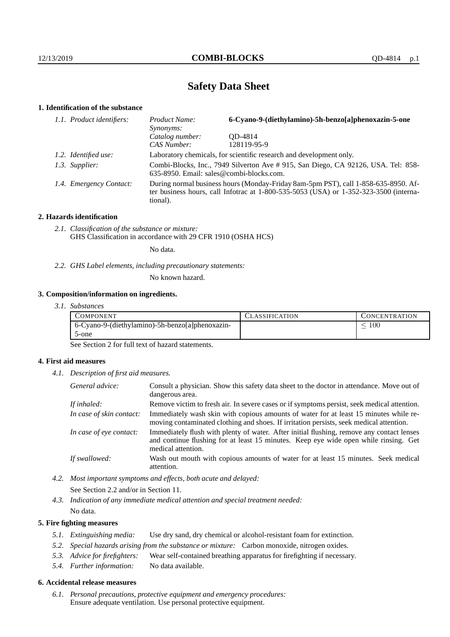# **Safety Data Sheet**

## **1. Identification of the substance**

| 1.1. Product identifiers: | 6-Cyano-9-(diethylamino)-5h-benzo[a]phenoxazin-5-one<br>Product Name:<br>Synonyms:                                                                                                      |             |  |
|---------------------------|-----------------------------------------------------------------------------------------------------------------------------------------------------------------------------------------|-------------|--|
|                           | Catalog number:                                                                                                                                                                         | OD-4814     |  |
|                           | CAS Number:                                                                                                                                                                             | 128119-95-9 |  |
| 1.2. Identified use:      | Laboratory chemicals, for scientific research and development only.                                                                                                                     |             |  |
| 1.3. Supplier:            | Combi-Blocks, Inc., 7949 Silverton Ave #915, San Diego, CA 92126, USA. Tel: 858-<br>635-8950. Email: sales@combi-blocks.com.                                                            |             |  |
| 1.4. Emergency Contact:   | During normal business hours (Monday-Friday 8am-5pm PST), call 1-858-635-8950. Af-<br>ter business hours, call Infotrac at 1-800-535-5053 (USA) or 1-352-323-3500 (interna-<br>tional). |             |  |

#### **2. Hazards identification**

*2.1. Classification of the substance or mixture:* GHS Classification in accordance with 29 CFR 1910 (OSHA HCS)

No data.

*2.2. GHS Label elements, including precautionary statements:*

No known hazard.

## **3. Composition/information on ingredients.**

| 3.1. Substances |  |
|-----------------|--|
|                 |  |

|       | COMPONENT.                                      | <b>ASSIFICATION</b> | CONCENTRATION |
|-------|-------------------------------------------------|---------------------|---------------|
|       | 6-Cyano-9-(diethylamino)-5h-benzo[a]phenoxazin- |                     | 100           |
| 5-one |                                                 |                     |               |

See Section 2 for full text of hazard statements.

## **4. First aid measures**

*4.1. Description of first aid measures.*

| General advice:          | Consult a physician. Show this safety data sheet to the doctor in attendance. Move out of<br>dangerous area.                                                                                            |
|--------------------------|---------------------------------------------------------------------------------------------------------------------------------------------------------------------------------------------------------|
| If inhaled:              | Remove victim to fresh air. In severe cases or if symptoms persist, seek medical attention.                                                                                                             |
| In case of skin contact: | Immediately wash skin with copious amounts of water for at least 15 minutes while re-<br>moving contaminated clothing and shoes. If irritation persists, seek medical attention.                        |
| In case of eye contact:  | Immediately flush with plenty of water. After initial flushing, remove any contact lenses<br>and continue flushing for at least 15 minutes. Keep eye wide open while rinsing. Get<br>medical attention. |
| If swallowed:            | Wash out mouth with copious amounts of water for at least 15 minutes. Seek medical<br>attention.                                                                                                        |

*4.2. Most important symptoms and effects, both acute and delayed:*

See Section 2.2 and/or in Section 11.

*4.3. Indication of any immediate medical attention and special treatment needed:*

# No data.

## **5. Fire fighting measures**

- *5.1. Extinguishing media:* Use dry sand, dry chemical or alcohol-resistant foam for extinction.
- *5.2. Special hazards arising from the substance or mixture:* Carbon monoxide, nitrogen oxides.
- *5.3. Advice for firefighters:* Wear self-contained breathing apparatus for firefighting if necessary.
- *5.4. Further information:* No data available.

### **6. Accidental release measures**

*6.1. Personal precautions, protective equipment and emergency procedures:* Ensure adequate ventilation. Use personal protective equipment.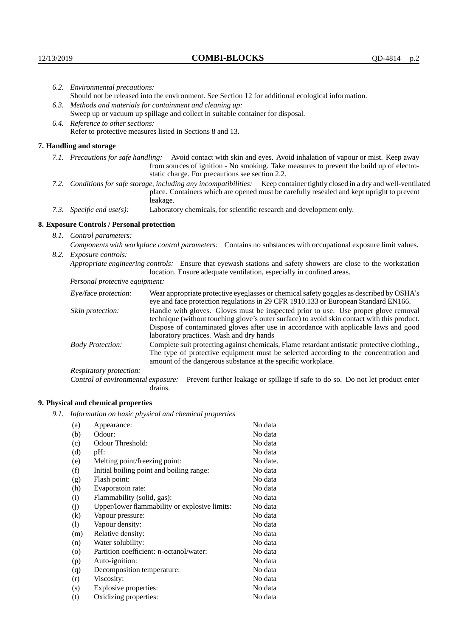|                                                                                                               | 6.2. Environmental precautions:                                                                                                                                                                                                                                    |                                                                                                                                                                                                                                                                                                                        |  |  |  |
|---------------------------------------------------------------------------------------------------------------|--------------------------------------------------------------------------------------------------------------------------------------------------------------------------------------------------------------------------------------------------------------------|------------------------------------------------------------------------------------------------------------------------------------------------------------------------------------------------------------------------------------------------------------------------------------------------------------------------|--|--|--|
|                                                                                                               | Should not be released into the environment. See Section 12 for additional ecological information.                                                                                                                                                                 |                                                                                                                                                                                                                                                                                                                        |  |  |  |
| 6.3.                                                                                                          | Methods and materials for containment and cleaning up:                                                                                                                                                                                                             |                                                                                                                                                                                                                                                                                                                        |  |  |  |
| Sweep up or vacuum up spillage and collect in suitable container for disposal.                                |                                                                                                                                                                                                                                                                    |                                                                                                                                                                                                                                                                                                                        |  |  |  |
|                                                                                                               | 6.4. Reference to other sections:                                                                                                                                                                                                                                  |                                                                                                                                                                                                                                                                                                                        |  |  |  |
|                                                                                                               |                                                                                                                                                                                                                                                                    | Refer to protective measures listed in Sections 8 and 13.                                                                                                                                                                                                                                                              |  |  |  |
|                                                                                                               | 7. Handling and storage                                                                                                                                                                                                                                            |                                                                                                                                                                                                                                                                                                                        |  |  |  |
|                                                                                                               | 7.1. Precautions for safe handling: Avoid contact with skin and eyes. Avoid inhalation of vapour or mist. Keep away<br>from sources of ignition - No smoking. Take measures to prevent the build up of electro-<br>static charge. For precautions see section 2.2. |                                                                                                                                                                                                                                                                                                                        |  |  |  |
| 7.2.                                                                                                          |                                                                                                                                                                                                                                                                    | Conditions for safe storage, including any incompatibilities: Keep container tightly closed in a dry and well-ventilated<br>place. Containers which are opened must be carefully resealed and kept upright to prevent<br>leakage.                                                                                      |  |  |  |
|                                                                                                               | 7.3. Specific end $use(s)$ :                                                                                                                                                                                                                                       | Laboratory chemicals, for scientific research and development only.                                                                                                                                                                                                                                                    |  |  |  |
|                                                                                                               | 8. Exposure Controls / Personal protection                                                                                                                                                                                                                         |                                                                                                                                                                                                                                                                                                                        |  |  |  |
|                                                                                                               | 8.1. Control parameters:                                                                                                                                                                                                                                           |                                                                                                                                                                                                                                                                                                                        |  |  |  |
| Components with workplace control parameters: Contains no substances with occupational exposure limit values. |                                                                                                                                                                                                                                                                    |                                                                                                                                                                                                                                                                                                                        |  |  |  |
|                                                                                                               | 8.2. Exposure controls:                                                                                                                                                                                                                                            |                                                                                                                                                                                                                                                                                                                        |  |  |  |
|                                                                                                               |                                                                                                                                                                                                                                                                    | Appropriate engineering controls: Ensure that eyewash stations and safety showers are close to the workstation<br>location. Ensure adequate ventilation, especially in confined areas.                                                                                                                                 |  |  |  |
|                                                                                                               | Personal protective equipment:                                                                                                                                                                                                                                     |                                                                                                                                                                                                                                                                                                                        |  |  |  |
|                                                                                                               | Eye/face protection:                                                                                                                                                                                                                                               | Wear appropriate protective eyeglasses or chemical safety goggles as described by OSHA's<br>eye and face protection regulations in 29 CFR 1910.133 or European Standard EN166.                                                                                                                                         |  |  |  |
|                                                                                                               | Skin protection:                                                                                                                                                                                                                                                   | Handle with gloves. Gloves must be inspected prior to use. Use proper glove removal<br>technique (without touching glove's outer surface) to avoid skin contact with this product.<br>Dispose of contaminated gloves after use in accordance with applicable laws and good<br>laboratory practices. Wash and dry hands |  |  |  |
|                                                                                                               | <b>Body Protection:</b>                                                                                                                                                                                                                                            | Complete suit protecting against chemicals, Flame retardant antistatic protective clothing.,<br>The type of protective equipment must be selected according to the concentration and<br>amount of the dangerous substance at the specific workplace.                                                                   |  |  |  |
|                                                                                                               | Respiratory protection:                                                                                                                                                                                                                                            |                                                                                                                                                                                                                                                                                                                        |  |  |  |

Control of environmental exposure: Prevent further leakage or spillage if safe to do so. Do not let product enter drains.

# **9. Physical and chemical properties**

*9.1. Information on basic physical and chemical properties*

| (a)                        | Appearance:                                   | No data  |
|----------------------------|-----------------------------------------------|----------|
| (b)                        | Odour:                                        | No data  |
| (c)                        | Odour Threshold:                              | No data  |
| (d)                        | pH:                                           | No data  |
| (e)                        | Melting point/freezing point:                 | No date. |
| (f)                        | Initial boiling point and boiling range:      | No data  |
| (g)                        | Flash point:                                  | No data  |
| (h)                        | Evaporatoin rate:                             | No data  |
| (i)                        | Flammability (solid, gas):                    | No data  |
| (j)                        | Upper/lower flammability or explosive limits: | No data  |
| $\rm(k)$                   | Vapour pressure:                              | No data  |
| $\left( \mathrm{l}\right)$ | Vapour density:                               | No data  |
| (m)                        | Relative density:                             | No data  |
| (n)                        | Water solubility:                             | No data  |
| $\circ$                    | Partition coefficient: n-octanol/water:       | No data  |
| (p)                        | Auto-ignition:                                | No data  |
| (q)                        | Decomposition temperature:                    | No data  |
| (r)                        | Viscosity:                                    | No data  |
| (s)                        | Explosive properties:                         | No data  |
| (t)                        | Oxidizing properties:                         | No data  |